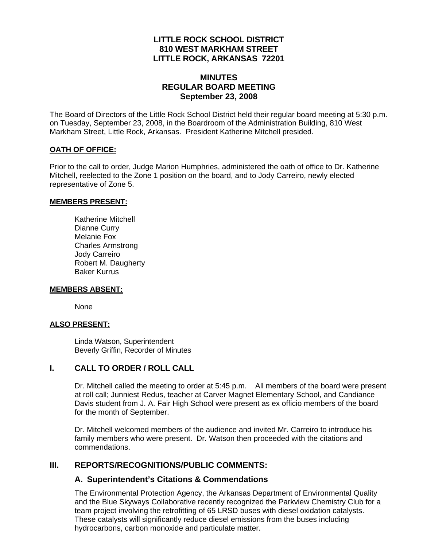#### **LITTLE ROCK SCHOOL DISTRICT 810 WEST MARKHAM STREET LITTLE ROCK, ARKANSAS 72201**

### **MINUTES REGULAR BOARD MEETING September 23, 2008**

The Board of Directors of the Little Rock School District held their regular board meeting at 5:30 p.m. on Tuesday, September 23, 2008, in the Boardroom of the Administration Building, 810 West Markham Street, Little Rock, Arkansas. President Katherine Mitchell presided.

#### **OATH OF OFFICE:**

Prior to the call to order, Judge Marion Humphries, administered the oath of office to Dr. Katherine Mitchell, reelected to the Zone 1 position on the board, and to Jody Carreiro, newly elected representative of Zone 5.

#### **MEMBERS PRESENT:**

Katherine Mitchell Dianne Curry Melanie Fox Charles Armstrong Jody Carreiro Robert M. Daugherty Baker Kurrus

#### **MEMBERS ABSENT:**

None

#### **ALSO PRESENT:**

 Linda Watson, Superintendent Beverly Griffin, Recorder of Minutes

#### **I. CALL TO ORDER / ROLL CALL**

Dr. Mitchell called the meeting to order at 5:45 p.m. All members of the board were present at roll call; Junniest Redus, teacher at Carver Magnet Elementary School, and Candiance Davis student from J. A. Fair High School were present as ex officio members of the board for the month of September.

Dr. Mitchell welcomed members of the audience and invited Mr. Carreiro to introduce his family members who were present. Dr. Watson then proceeded with the citations and commendations.

### **III. REPORTS/RECOGNITIONS/PUBLIC COMMENTS:**

#### **A. Superintendent's Citations & Commendations**

The Environmental Protection Agency, the Arkansas Department of Environmental Quality and the Blue Skyways Collaborative recently recognized the Parkview Chemistry Club for a team project involving the retrofitting of 65 LRSD buses with diesel oxidation catalysts. These catalysts will significantly reduce diesel emissions from the buses including hydrocarbons, carbon monoxide and particulate matter.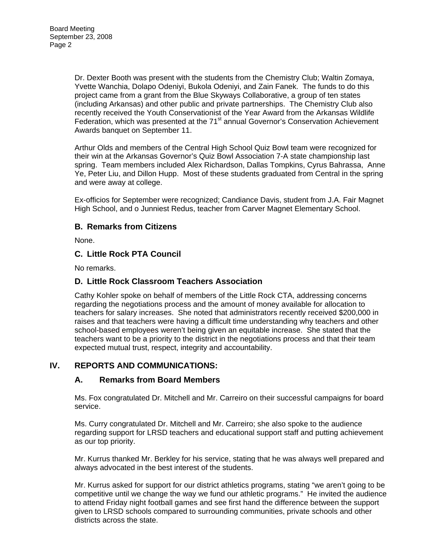Dr. Dexter Booth was present with the students from the Chemistry Club; Waltin Zomaya, Yvette Wanchia, Dolapo Odeniyi, Bukola Odeniyi, and Zain Fanek. The funds to do this project came from a grant from the Blue Skyways Collaborative, a group of ten states (including Arkansas) and other public and private partnerships. The Chemistry Club also recently received the Youth Conservationist of the Year Award from the Arkansas Wildlife Federation, which was presented at the 71<sup>st</sup> annual Governor's Conservation Achievement Awards banquet on September 11.

Arthur Olds and members of the Central High School Quiz Bowl team were recognized for their win at the Arkansas Governor's Quiz Bowl Association 7-A state championship last spring. Team members included Alex Richardson, Dallas Tompkins, Cyrus Bahrassa, Anne Ye, Peter Liu, and Dillon Hupp. Most of these students graduated from Central in the spring and were away at college.

Ex-officios for September were recognized; Candiance Davis, student from J.A. Fair Magnet High School, and o Junniest Redus, teacher from Carver Magnet Elementary School.

### **B. Remarks from Citizens**

None.

### **C. Little Rock PTA Council**

No remarks.

### **D. Little Rock Classroom Teachers Association**

Cathy Kohler spoke on behalf of members of the Little Rock CTA, addressing concerns regarding the negotiations process and the amount of money available for allocation to teachers for salary increases. She noted that administrators recently received \$200,000 in raises and that teachers were having a difficult time understanding why teachers and other school-based employees weren't being given an equitable increase. She stated that the teachers want to be a priority to the district in the negotiations process and that their team expected mutual trust, respect, integrity and accountability.

### **IV. REPORTS AND COMMUNICATIONS:**

### **A. Remarks from Board Members**

Ms. Fox congratulated Dr. Mitchell and Mr. Carreiro on their successful campaigns for board service.

Ms. Curry congratulated Dr. Mitchell and Mr. Carreiro; she also spoke to the audience regarding support for LRSD teachers and educational support staff and putting achievement as our top priority.

Mr. Kurrus thanked Mr. Berkley for his service, stating that he was always well prepared and always advocated in the best interest of the students.

Mr. Kurrus asked for support for our district athletics programs, stating "we aren't going to be competitive until we change the way we fund our athletic programs." He invited the audience to attend Friday night football games and see first hand the difference between the support given to LRSD schools compared to surrounding communities, private schools and other districts across the state.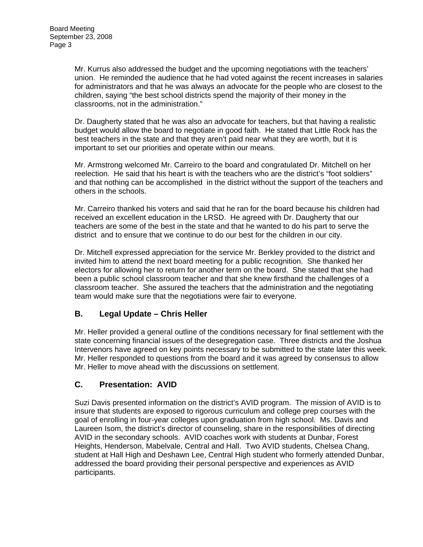Mr. Kurrus also addressed the budget and the upcoming negotiations with the teachers' union. He reminded the audience that he had voted against the recent increases in salaries for administrators and that he was always an advocate for the people who are closest to the children, saying "the best school districts spend the majority of their money in the classrooms, not in the administration."

Dr. Daugherty stated that he was also an advocate for teachers, but that having a realistic budget would allow the board to negotiate in good faith. He stated that Little Rock has the best teachers in the state and that they aren't paid near what they are worth, but it is important to set our priorities and operate within our means.

Mr. Armstrong welcomed Mr. Carreiro to the board and congratulated Dr. Mitchell on her reelection. He said that his heart is with the teachers who are the district's "foot soldiers" and that nothing can be accomplished in the district without the support of the teachers and others in the schools.

Mr. Carreiro thanked his voters and said that he ran for the board because his children had received an excellent education in the LRSD. He agreed with Dr. Daugherty that our teachers are some of the best in the state and that he wanted to do his part to serve the district and to ensure that we continue to do our best for the children in our city.

Dr. Mitchell expressed appreciation for the service Mr. Berkley provided to the district and invited him to attend the next board meeting for a public recognition. She thanked her electors for allowing her to return for another term on the board. She stated that she had been a public school classroom teacher and that she knew firsthand the challenges of a classroom teacher. She assured the teachers that the administration and the negotiating team would make sure that the negotiations were fair to everyone.

# **B. Legal Update – Chris Heller**

Mr. Heller provided a general outline of the conditions necessary for final settlement with the state concerning financial issues of the desegregation case. Three districts and the Joshua Intervenors have agreed on key points necessary to be submitted to the state later this week. Mr. Heller responded to questions from the board and it was agreed by consensus to allow Mr. Heller to move ahead with the discussions on settlement.

# **C. Presentation: AVID**

Suzi Davis presented information on the district's AVID program. The mission of AVID is to insure that students are exposed to rigorous curriculum and college prep courses with the goal of enrolling in four-year colleges upon graduation from high school. Ms. Davis and Laureen Isom, the district's director of counseling, share in the responsibilities of directing AVID in the secondary schools. AVID coaches work with students at Dunbar, Forest Heights, Henderson, Mabelvale, Central and Hall. Two AVID students, Chelsea Chang, student at Hall High and Deshawn Lee, Central High student who formerly attended Dunbar, addressed the board providing their personal perspective and experiences as AVID participants.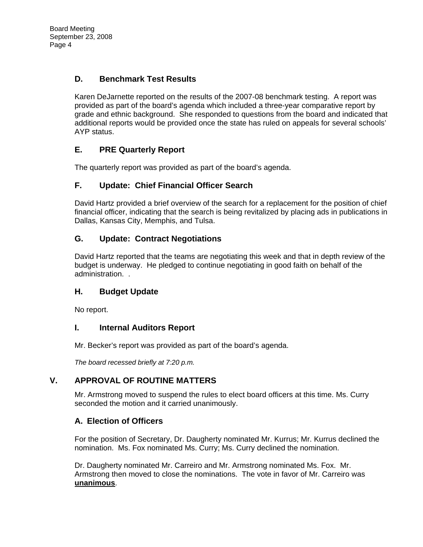# **D. Benchmark Test Results**

Karen DeJarnette reported on the results of the 2007-08 benchmark testing. A report was provided as part of the board's agenda which included a three-year comparative report by grade and ethnic background. She responded to questions from the board and indicated that additional reports would be provided once the state has ruled on appeals for several schools' AYP status.

# **E. PRE Quarterly Report**

The quarterly report was provided as part of the board's agenda.

# **F. Update: Chief Financial Officer Search**

David Hartz provided a brief overview of the search for a replacement for the position of chief financial officer, indicating that the search is being revitalized by placing ads in publications in Dallas, Kansas City, Memphis, and Tulsa.

# **G. Update: Contract Negotiations**

David Hartz reported that the teams are negotiating this week and that in depth review of the budget is underway. He pledged to continue negotiating in good faith on behalf of the administration. .

# **H. Budget Update**

No report.

# **I. Internal Auditors Report**

Mr. Becker's report was provided as part of the board's agenda.

*The board recessed briefly at 7:20 p.m.* 

# **V. APPROVAL OF ROUTINE MATTERS**

Mr. Armstrong moved to suspend the rules to elect board officers at this time. Ms. Curry seconded the motion and it carried unanimously.

# **A. Election of Officers**

For the position of Secretary, Dr. Daugherty nominated Mr. Kurrus; Mr. Kurrus declined the nomination. Ms. Fox nominated Ms. Curry; Ms. Curry declined the nomination.

Dr. Daugherty nominated Mr. Carreiro and Mr. Armstrong nominated Ms. Fox. Mr. Armstrong then moved to close the nominations. The vote in favor of Mr. Carreiro was **unanimous**.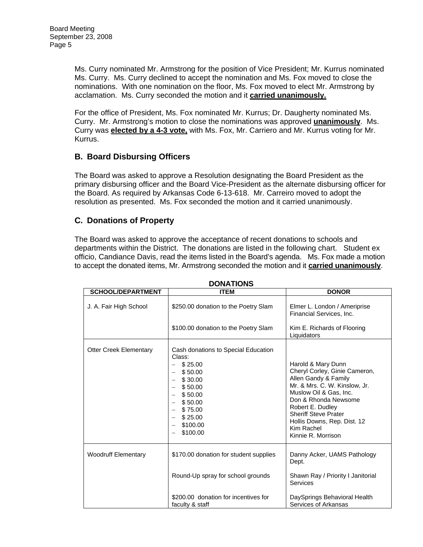Ms. Curry nominated Mr. Armstrong for the position of Vice President; Mr. Kurrus nominated Ms. Curry. Ms. Curry declined to accept the nomination and Ms. Fox moved to close the nominations. With one nomination on the floor, Ms. Fox moved to elect Mr. Armstrong by acclamation. Ms. Curry seconded the motion and it **carried unanimously.**

For the office of President, Ms. Fox nominated Mr. Kurrus; Dr. Daugherty nominated Ms. Curry. Mr. Armstrong's motion to close the nominations was approved **unanimously**. Ms. Curry was **elected by a 4-3 vote,** with Ms. Fox, Mr. Carriero and Mr. Kurrus voting for Mr. Kurrus.

### **B. Board Disbursing Officers**

The Board was asked to approve a Resolution designating the Board President as the primary disbursing officer and the Board Vice-President as the alternate disbursing officer for the Board. As required by Arkansas Code 6-13-618. Mr. Carreiro moved to adopt the resolution as presented. Ms. Fox seconded the motion and it carried unanimously.

# **C. Donations of Property**

The Board was asked to approve the acceptance of recent donations to schools and departments within the District. The donations are listed in the following chart. Student ex officio, Candiance Davis, read the items listed in the Board's agenda. Ms. Fox made a motion to accept the donated items, Mr. Armstrong seconded the motion and it **carried unanimously**.

| <b>DONATIONS</b>              |                                                                                                                                                               |                                                                                                                                                                                                                                                                                      |
|-------------------------------|---------------------------------------------------------------------------------------------------------------------------------------------------------------|--------------------------------------------------------------------------------------------------------------------------------------------------------------------------------------------------------------------------------------------------------------------------------------|
| <b>SCHOOL/DEPARTMENT</b>      | <b>ITEM</b>                                                                                                                                                   | <b>DONOR</b>                                                                                                                                                                                                                                                                         |
| J. A. Fair High School        | \$250.00 donation to the Poetry Slam<br>\$100.00 donation to the Poetry Slam                                                                                  | Elmer L. London / Ameriprise<br>Financial Services, Inc.<br>Kim E. Richards of Flooring<br>Liquidators                                                                                                                                                                               |
| <b>Otter Creek Elementary</b> | Cash donations to Special Education<br>Class:<br>\$25.00<br>\$50.00<br>\$30.00<br>\$50.00<br>\$50.00<br>\$50.00<br>\$75.00<br>\$25.00<br>\$100.00<br>\$100.00 | Harold & Mary Dunn<br>Cheryl Corley, Ginie Cameron,<br>Allen Gandy & Family<br>Mr. & Mrs. C. W. Kinslow, Jr.<br>Muslow Oil & Gas. Inc.<br>Don & Rhonda Newsome<br>Robert E. Dudley<br><b>Sheriff Steve Prater</b><br>Hollis Downs, Rep. Dist. 12<br>Kim Rachel<br>Kinnie R. Morrison |
| <b>Woodruff Elementary</b>    | \$170.00 donation for student supplies                                                                                                                        | Danny Acker, UAMS Pathology<br>Dept.                                                                                                                                                                                                                                                 |
|                               | Round-Up spray for school grounds                                                                                                                             | Shawn Ray / Priority I Janitorial<br>Services                                                                                                                                                                                                                                        |
|                               | \$200.00 donation for incentives for<br>faculty & staff                                                                                                       | DaySprings Behavioral Health<br>Services of Arkansas                                                                                                                                                                                                                                 |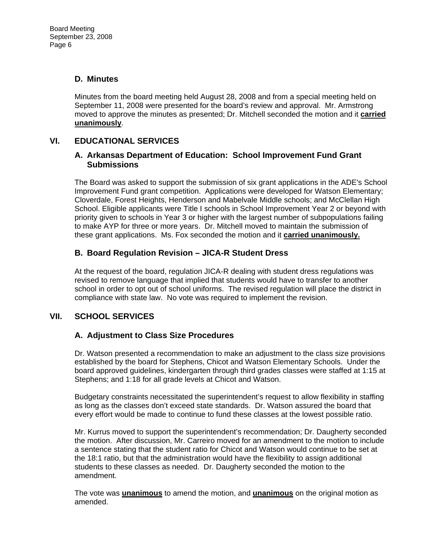## **D. Minutes**

Minutes from the board meeting held August 28, 2008 and from a special meeting held on September 11, 2008 were presented for the board's review and approval. Mr. Armstrong moved to approve the minutes as presented; Dr. Mitchell seconded the motion and it **carried unanimously**.

## **VI. EDUCATIONAL SERVICES**

#### **A. Arkansas Department of Education: School Improvement Fund Grant Submissions**

The Board was asked to support the submission of six grant applications in the ADE's School Improvement Fund grant competition. Applications were developed for Watson Elementary; Cloverdale, Forest Heights, Henderson and Mabelvale Middle schools; and McClellan High School. Eligible applicants were Title I schools in School Improvement Year 2 or beyond with priority given to schools in Year 3 or higher with the largest number of subpopulations failing to make AYP for three or more years. Dr. Mitchell moved to maintain the submission of these grant applications. Ms. Fox seconded the motion and it **carried unanimously.**

### **B. Board Regulation Revision – JICA-R Student Dress**

At the request of the board, regulation JICA-R dealing with student dress regulations was revised to remove language that implied that students would have to transfer to another school in order to opt out of school uniforms. The revised regulation will place the district in compliance with state law. No vote was required to implement the revision.

# **VII. SCHOOL SERVICES**

# **A. Adjustment to Class Size Procedures**

Dr. Watson presented a recommendation to make an adjustment to the class size provisions established by the board for Stephens, Chicot and Watson Elementary Schools. Under the board approved guidelines, kindergarten through third grades classes were staffed at 1:15 at Stephens; and 1:18 for all grade levels at Chicot and Watson.

Budgetary constraints necessitated the superintendent's request to allow flexibility in staffing as long as the classes don't exceed state standards. Dr. Watson assured the board that every effort would be made to continue to fund these classes at the lowest possible ratio.

Mr. Kurrus moved to support the superintendent's recommendation; Dr. Daugherty seconded the motion. After discussion, Mr. Carreiro moved for an amendment to the motion to include a sentence stating that the student ratio for Chicot and Watson would continue to be set at the 18:1 ratio, but that the administration would have the flexibility to assign additional students to these classes as needed. Dr. Daugherty seconded the motion to the amendment.

The vote was **unanimous** to amend the motion, and **unanimous** on the original motion as amended.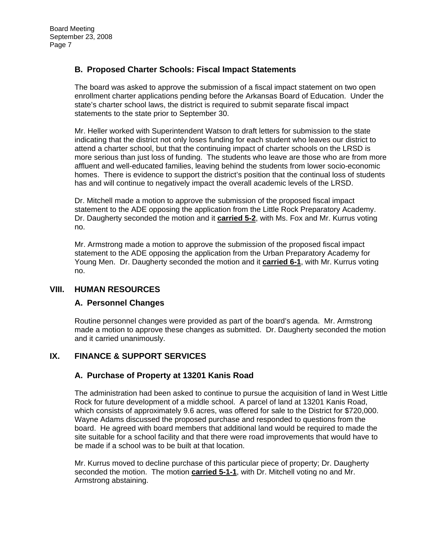### **B. Proposed Charter Schools: Fiscal Impact Statements**

The board was asked to approve the submission of a fiscal impact statement on two open enrollment charter applications pending before the Arkansas Board of Education. Under the state's charter school laws, the district is required to submit separate fiscal impact statements to the state prior to September 30.

Mr. Heller worked with Superintendent Watson to draft letters for submission to the state indicating that the district not only loses funding for each student who leaves our district to attend a charter school, but that the continuing impact of charter schools on the LRSD is more serious than just loss of funding. The students who leave are those who are from more affluent and well-educated families, leaving behind the students from lower socio-economic homes. There is evidence to support the district's position that the continual loss of students has and will continue to negatively impact the overall academic levels of the LRSD.

Dr. Mitchell made a motion to approve the submission of the proposed fiscal impact statement to the ADE opposing the application from the Little Rock Preparatory Academy. Dr. Daugherty seconded the motion and it **carried 5-2**, with Ms. Fox and Mr. Kurrus voting no.

Mr. Armstrong made a motion to approve the submission of the proposed fiscal impact statement to the ADE opposing the application from the Urban Preparatory Academy for Young Men. Dr. Daugherty seconded the motion and it **carried 6-1**, with Mr. Kurrus voting no.

### **VIII. HUMAN RESOURCES**

### **A. Personnel Changes**

Routine personnel changes were provided as part of the board's agenda. Mr. Armstrong made a motion to approve these changes as submitted. Dr. Daugherty seconded the motion and it carried unanimously.

# **IX. FINANCE & SUPPORT SERVICES**

### **A. Purchase of Property at 13201 Kanis Road**

The administration had been asked to continue to pursue the acquisition of land in West Little Rock for future development of a middle school. A parcel of land at 13201 Kanis Road, which consists of approximately 9.6 acres, was offered for sale to the District for \$720,000. Wayne Adams discussed the proposed purchase and responded to questions from the board. He agreed with board members that additional land would be required to made the site suitable for a school facility and that there were road improvements that would have to be made if a school was to be built at that location.

Mr. Kurrus moved to decline purchase of this particular piece of property; Dr. Daugherty seconded the motion. The motion **carried 5-1-1**, with Dr. Mitchell voting no and Mr. Armstrong abstaining.